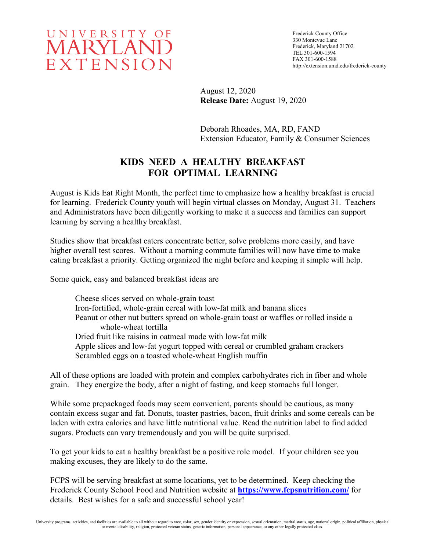

Frederick County Office 330 Montevue Lane Frederick, Maryland 21702 TEL 301-600-1594 FAX 301-600-1588 http://extension.umd.edu/frederick-county

August 12, 2020 **Release Date:** August 19, 2020

Deborah Rhoades, MA, RD, FAND Extension Educator, Family & Consumer Sciences

## **KIDS NEED A HEALTHY BREAKFAST FOR OPTIMAL LEARNING**

August is Kids Eat Right Month, the perfect time to emphasize how a healthy breakfast is crucial for learning. Frederick County youth will begin virtual classes on Monday, August 31. Teachers and Administrators have been diligently working to make it a success and families can support learning by serving a healthy breakfast.

Studies show that breakfast eaters concentrate better, solve problems more easily, and have higher overall test scores. Without a morning commute families will now have time to make eating breakfast a priority. Getting organized the night before and keeping it simple will help.

Some quick, easy and balanced breakfast ideas are

Cheese slices served on whole-grain toast Iron-fortified, whole-grain cereal with low-fat milk and banana slices Peanut or other nut butters spread on whole-grain toast or waffles or rolled inside a whole-wheat tortilla Dried fruit like raisins in oatmeal made with low-fat milk Apple slices and low-fat yogurt topped with cereal or crumbled graham crackers Scrambled eggs on a toasted whole-wheat English muffin

All of these options are loaded with protein and complex carbohydrates rich in fiber and whole grain. They energize the body, after a night of fasting, and keep stomachs full longer.

While some prepackaged foods may seem convenient, parents should be cautious, as many contain excess sugar and fat. Donuts, toaster pastries, bacon, fruit drinks and some cereals can be laden with extra calories and have little nutritional value. Read the nutrition label to find added sugars. Products can vary tremendously and you will be quite surprised.

To get your kids to eat a healthy breakfast be a positive role model. If your children see you making excuses, they are likely to do the same.

FCPS will be serving breakfast at some locations, yet to be determined. Keep checking the Frederick County School Food and Nutrition website at **<https://www.fcpsnutrition.com/>** for details. Best wishes for a safe and successful school year!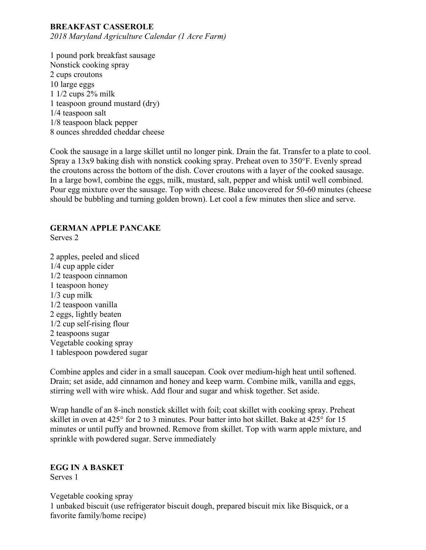# **BREAKFAST CASSEROLE**

*2018 Maryland Agriculture Calendar (1 Acre Farm)*

1 pound pork breakfast sausage Nonstick cooking spray 2 cups croutons 10 large eggs 1 1/2 cups 2% milk 1 teaspoon ground mustard (dry) 1/4 teaspoon salt 1/8 teaspoon black pepper 8 ounces shredded cheddar cheese

Cook the sausage in a large skillet until no longer pink. Drain the fat. Transfer to a plate to cool. Spray a 13x9 baking dish with nonstick cooking spray. Preheat oven to 350°F. Evenly spread the croutons across the bottom of the dish. Cover croutons with a layer of the cooked sausage. In a large bowl, combine the eggs, milk, mustard, salt, pepper and whisk until well combined. Pour egg mixture over the sausage. Top with cheese. Bake uncovered for 50-60 minutes (cheese should be bubbling and turning golden brown). Let cool a few minutes then slice and serve.

#### **GERMAN APPLE PANCAKE**

Serves 2

2 apples, peeled and sliced 1/4 cup apple cider 1/2 teaspoon cinnamon 1 teaspoon honey 1/3 cup milk 1/2 teaspoon vanilla 2 eggs, lightly beaten 1/2 cup self-rising flour 2 teaspoons sugar Vegetable cooking spray 1 tablespoon powdered sugar

Combine apples and cider in a small saucepan. Cook over medium-high heat until softened. Drain; set aside, add cinnamon and honey and keep warm. Combine milk, vanilla and eggs, stirring well with wire whisk. Add flour and sugar and whisk together. Set aside.

Wrap handle of an 8-inch nonstick skillet with foil; coat skillet with cooking spray. Preheat skillet in oven at 425° for 2 to 3 minutes. Pour batter into hot skillet. Bake at 425° for 15 minutes or until puffy and browned. Remove from skillet. Top with warm apple mixture, and sprinkle with powdered sugar. Serve immediately

**EGG IN A BASKET** Serves 1

Vegetable cooking spray 1 unbaked biscuit (use refrigerator biscuit dough, prepared biscuit mix like Bisquick, or a favorite family/home recipe)